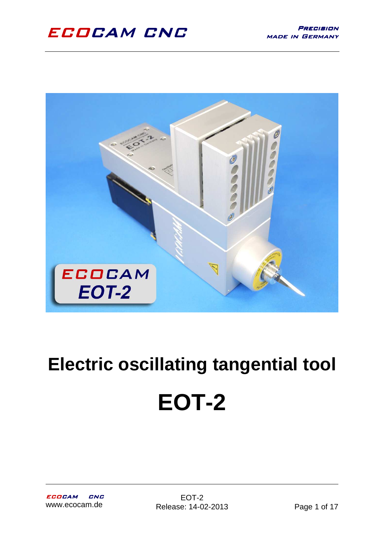

# **Electric oscillating tangential tool EOT-2**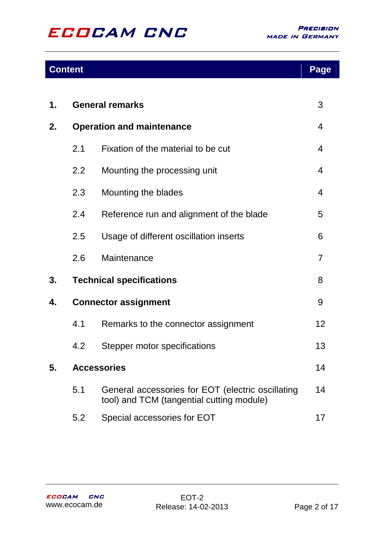### **Content**

| 1. | <b>General remarks</b>           |                                                                                                | 3              |
|----|----------------------------------|------------------------------------------------------------------------------------------------|----------------|
| 2. | <b>Operation and maintenance</b> |                                                                                                | 4              |
|    | 2.1                              | Fixation of the material to be cut                                                             | 4              |
|    | 2.2                              | Mounting the processing unit                                                                   | 4              |
|    | 2.3                              | Mounting the blades                                                                            | 4              |
|    | 2.4                              | Reference run and alignment of the blade                                                       | 5              |
|    | 2.5                              | Usage of different oscillation inserts                                                         | 6              |
|    | 2.6                              | Maintenance                                                                                    | $\overline{7}$ |
| 3. |                                  | <b>Technical specifications</b>                                                                | 8              |
| 4. | <b>Connector assignment</b>      |                                                                                                | 9              |
|    | 4.1                              | Remarks to the connector assignment                                                            | 12             |
|    | 4.2                              | Stepper motor specifications                                                                   | 13             |
| 5. | <b>Accessories</b>               |                                                                                                | 14             |
|    | 5.1                              | General accessories for EOT (electric oscillating<br>tool) and TCM (tangential cutting module) | 14             |
|    | 5.2                              | Special accessories for EOT                                                                    | 17             |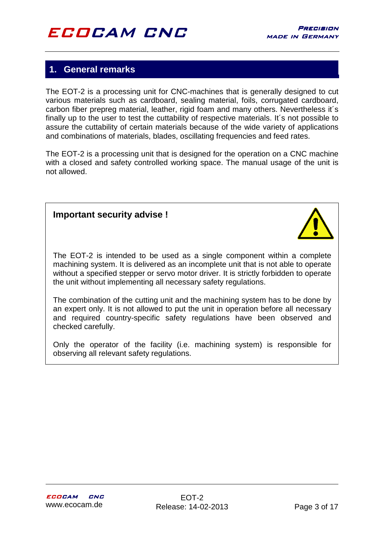### **1. General remarks**

The EOT-2 is a processing unit for CNC-machines that is generally designed to cut various materials such as cardboard, sealing material, foils, corrugated cardboard, carbon fiber prepreg material, leather, rigid foam and many others. Nevertheless it´s finally up to the user to test the cuttability of respective materials. It´s not possible to assure the cuttability of certain materials because of the wide variety of applications and combinations of materials, blades, oscillating frequencies and feed rates.

The EOT-2 is a processing unit that is designed for the operation on a CNC machine with a closed and safety controlled working space. The manual usage of the unit is not allowed.

#### **Important security advise !**



The EOT-2 is intended to be used as a single component within a complete machining system. It is delivered as an incomplete unit that is not able to operate without a specified stepper or servo motor driver. It is strictly forbidden to operate the unit without implementing all necessary safety regulations.

The combination of the cutting unit and the machining system has to be done by an expert only. It is not allowed to put the unit in operation before all necessary and required country-specific safety regulations have been observed and checked carefully.

Only the operator of the facility (i.e. machining system) is responsible for observing all relevant safety regulations.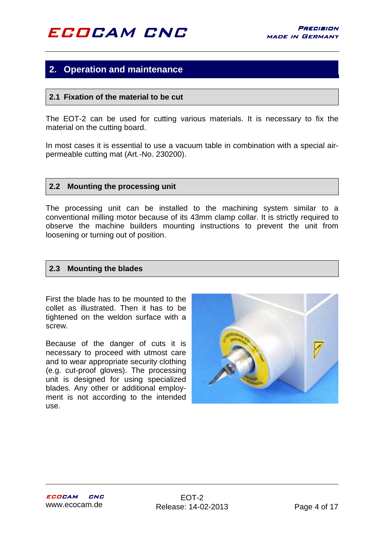### **2. Operation and maintenance**

#### **2.1 Fixation of the material to be cut**

The EOT-2 can be used for cutting various materials. It is necessary to fix the material on the cutting board.

In most cases it is essential to use a vacuum table in combination with a special airpermeable cutting mat (Art.-No. 230200).

#### **2.2 Mounting the processing unit**

The processing unit can be installed to the machining system similar to a conventional milling motor because of its 43mm clamp collar. It is strictly required to observe the machine builders mounting instructions to prevent the unit from loosening or turning out of position.

#### **2.3 Mounting the blades**

First the blade has to be mounted to the collet as illustrated. Then it has to be tightened on the weldon surface with a screw.

Because of the danger of cuts it is necessary to proceed with utmost care and to wear appropriate security clothing (e.g. cut-proof gloves). The processing unit is designed for using specialized blades. Any other or additional employment is not according to the intended use.

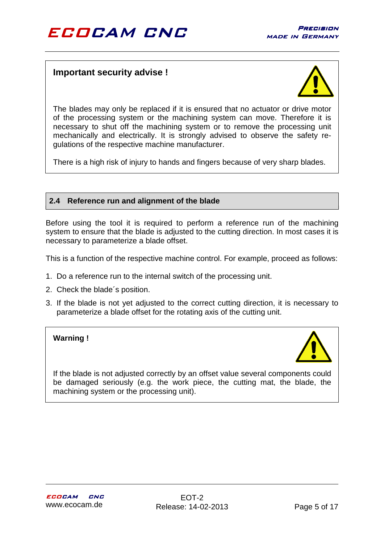#### **Important security advise !**



The blades may only be replaced if it is ensured that no actuator or drive motor of the processing system or the machining system can move. Therefore it is necessary to shut off the machining system or to remove the processing unit mechanically and electrically. It is strongly advised to observe the safety regulations of the respective machine manufacturer.

There is a high risk of injury to hands and fingers because of very sharp blades.

#### **2.4 Reference run and alignment of the blade**

Before using the tool it is required to perform a reference run of the machining system to ensure that the blade is adjusted to the cutting direction. In most cases it is necessary to parameterize a blade offset.

This is a function of the respective machine control. For example, proceed as follows:

- 1. Do a reference run to the internal switch of the processing unit.
- 2. Check the blade´s position.
- 3. If the blade is not yet adjusted to the correct cutting direction, it is necessary to parameterize a blade offset for the rotating axis of the cutting unit.

#### **Warning !**



If the blade is not adjusted correctly by an offset value several components could be damaged seriously (e.g. the work piece, the cutting mat, the blade, the machining system or the processing unit).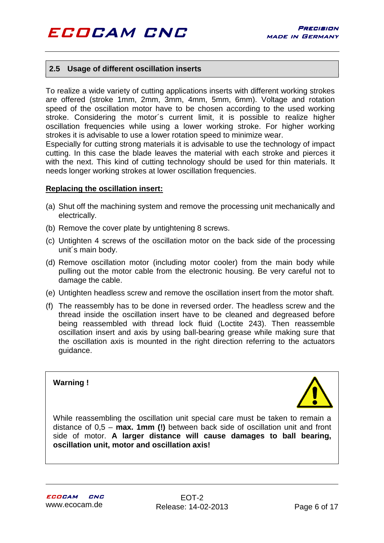#### **2.5 Usage of different oscillation inserts**

To realize a wide variety of cutting applications inserts with different working strokes are offered (stroke 1mm, 2mm, 3mm, 4mm, 5mm, 6mm). Voltage and rotation speed of the oscillation motor have to be chosen according to the used working stroke. Considering the motor´s current limit, it is possible to realize higher oscillation frequencies while using a lower working stroke. For higher working strokes it is advisable to use a lower rotation speed to minimize wear.

Especially for cutting strong materials it is advisable to use the technology of impact cutting. In this case the blade leaves the material with each stroke and pierces it with the next. This kind of cutting technology should be used for thin materials. It needs longer working strokes at lower oscillation frequencies.

#### **Replacing the oscillation insert:**

- (a) Shut off the machining system and remove the processing unit mechanically and electrically.
- (b) Remove the cover plate by untightening 8 screws.
- (c) Untighten 4 screws of the oscillation motor on the back side of the processing unit´s main body.
- (d) Remove oscillation motor (including motor cooler) from the main body while pulling out the motor cable from the electronic housing. Be very careful not to damage the cable.
- (e) Untighten headless screw and remove the oscillation insert from the motor shaft.
- (f) The reassembly has to be done in reversed order. The headless screw and the thread inside the oscillation insert have to be cleaned and degreased before being reassembled with thread lock fluid (Loctite 243). Then reassemble oscillation insert and axis by using ball-bearing grease while making sure that the oscillation axis is mounted in the right direction referring to the actuators guidance.



While reassembling the oscillation unit special care must be taken to remain a distance of 0,5 – **max. 1mm (!)** between back side of oscillation unit and front side of motor. **A larger distance will cause damages to ball bearing, oscillation unit, motor and oscillation axis!**

**Warning !**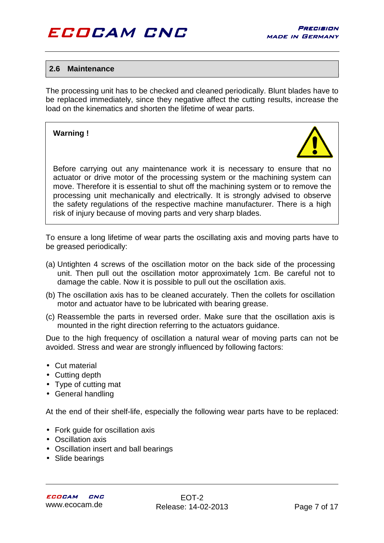#### **2.6 Maintenance**

The processing unit has to be checked and cleaned periodically. Blunt blades have to be replaced immediately, since they negative affect the cutting results, increase the load on the kinematics and shorten the lifetime of wear parts.

#### **Warning !**



Before carrying out any maintenance work it is necessary to ensure that no actuator or drive motor of the processing system or the machining system can move. Therefore it is essential to shut off the machining system or to remove the processing unit mechanically and electrically. It is strongly advised to observe the safety regulations of the respective machine manufacturer. There is a high risk of injury because of moving parts and very sharp blades.

To ensure a long lifetime of wear parts the oscillating axis and moving parts have to be greased periodically:

- (a) Untighten 4 screws of the oscillation motor on the back side of the processing unit. Then pull out the oscillation motor approximately 1cm. Be careful not to damage the cable. Now it is possible to pull out the oscillation axis.
- (b) The oscillation axis has to be cleaned accurately. Then the collets for oscillation motor and actuator have to be lubricated with bearing grease.
- (c) Reassemble the parts in reversed order. Make sure that the oscillation axis is mounted in the right direction referring to the actuators guidance.

Due to the high frequency of oscillation a natural wear of moving parts can not be avoided. Stress and wear are strongly influenced by following factors:

- Cut material
- Cutting depth
- Type of cutting mat
- General handling

At the end of their shelf-life, especially the following wear parts have to be replaced:

- Fork guide for oscillation axis
- Oscillation axis
- Oscillation insert and ball bearings
- Slide bearings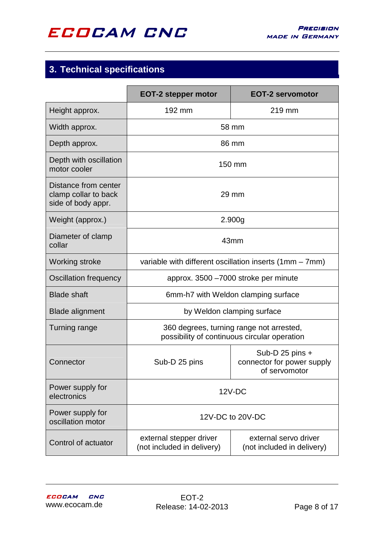

### **3. Technical specifications**

|                                                                    | <b>EOT-2 stepper motor</b>                                                               | <b>EOT-2 servomotor</b>                                          |  |
|--------------------------------------------------------------------|------------------------------------------------------------------------------------------|------------------------------------------------------------------|--|
| Height approx.                                                     | 192 mm                                                                                   | 219 mm                                                           |  |
| Width approx.                                                      |                                                                                          | 58 mm                                                            |  |
| Depth approx.                                                      |                                                                                          | 86 mm                                                            |  |
| Depth with oscillation<br>motor cooler                             | 150 mm                                                                                   |                                                                  |  |
| Distance from center<br>clamp collar to back<br>side of body appr. | $29$ mm                                                                                  |                                                                  |  |
| Weight (approx.)                                                   |                                                                                          | 2.900g                                                           |  |
| Diameter of clamp<br>collar                                        | 43mm                                                                                     |                                                                  |  |
| <b>Working stroke</b>                                              | variable with different oscillation inserts $(1mm - 7mm)$                                |                                                                  |  |
| Oscillation frequency                                              | approx. 3500 -7000 stroke per minute                                                     |                                                                  |  |
| <b>Blade shaft</b>                                                 | 6mm-h7 with Weldon clamping surface                                                      |                                                                  |  |
| <b>Blade alignment</b>                                             | by Weldon clamping surface                                                               |                                                                  |  |
| <b>Turning range</b>                                               | 360 degrees, turning range not arrested,<br>possibility of continuous circular operation |                                                                  |  |
| Connector                                                          | Sub-D 25 pins                                                                            | Sub-D 25 pins $+$<br>connector for power supply<br>of servomotor |  |
| Power supply for<br>electronics                                    | $12V-DC$                                                                                 |                                                                  |  |
| Power supply for<br>oscillation motor                              | 12V-DC to 20V-DC                                                                         |                                                                  |  |
| Control of actuator                                                | external stepper driver<br>(not included in delivery)                                    | external servo driver<br>(not included in delivery)              |  |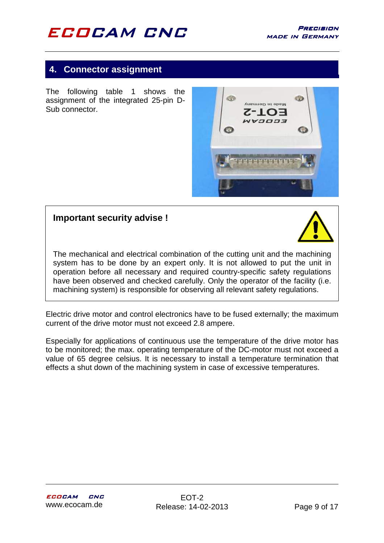### **4. Connector assignment**

The following table 1 shows the assignment of the integrated 25-pin D-Sub connector.



#### **Important security advise !**



The mechanical and electrical combination of the cutting unit and the machining system has to be done by an expert only. It is not allowed to put the unit in operation before all necessary and required country-specific safety regulations have been observed and checked carefully. Only the operator of the facility (i.e. machining system) is responsible for observing all relevant safety regulations.

Electric drive motor and control electronics have to be fused externally; the maximum current of the drive motor must not exceed 2.8 ampere.

Especially for applications of continuous use the temperature of the drive motor has to be monitored; the max. operating temperature of the DC-motor must not exceed a value of 65 degree celsius. It is necessary to install a temperature termination that effects a shut down of the machining system in case of excessive temperatures.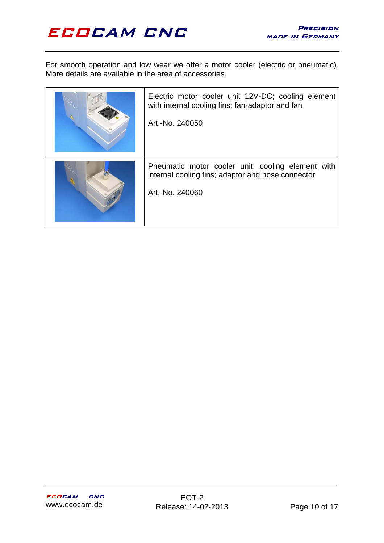For smooth operation and low wear we offer a motor cooler (electric or pneumatic). More details are available in the area of accessories.

| Electric motor cooler unit 12V-DC; cooling element<br>with internal cooling fins; fan-adaptor and fan<br>Art.-No. 240050  |
|---------------------------------------------------------------------------------------------------------------------------|
| Pneumatic motor cooler unit; cooling element with<br>internal cooling fins; adaptor and hose connector<br>Art.-No. 240060 |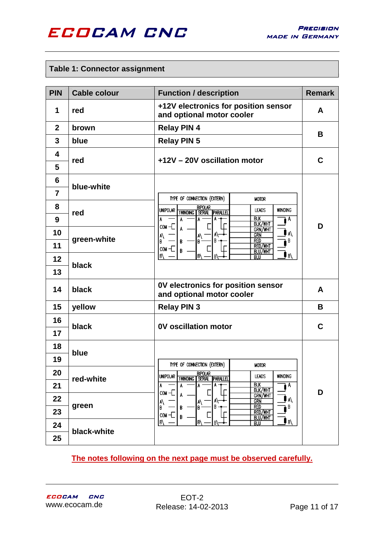

#### **Table 1: Connector assignment**

| <b>PIN</b>                        | <b>Cable colour</b>           | <b>Function / description</b>                                                                                                                  | <b>Remark</b> |
|-----------------------------------|-------------------------------|------------------------------------------------------------------------------------------------------------------------------------------------|---------------|
| 1                                 | red                           | +12V electronics for position sensor<br>and optional motor cooler                                                                              | A             |
| $\overline{2}$                    | brown                         | <b>Relay PIN 4</b>                                                                                                                             | В             |
| $\mathbf{3}$                      | blue                          | <b>Relay PIN 5</b>                                                                                                                             |               |
| 4<br>5                            | red                           | +12V - 20V oscillation motor                                                                                                                   | С             |
| $6\phantom{1}6$<br>$\overline{7}$ | blue-white                    | TYPE OF CONNECTION (EXTERN)<br><b>MOTOR</b>                                                                                                    |               |
| 8<br>9                            | red                           | <b>BIPOLAR</b><br>WINDING<br><b>UNIPOLAR</b><br><b>LEADS</b><br><b>PARALLEL</b><br><b>1WINDING SERIAL</b><br><b>BLK</b><br>A<br><b>BLK/WHT</b> | D             |
| 10<br>11                          | green-white                   | $com -$<br>GRN/WHT<br>A۱<br>GRN<br>A١<br>A١<br><b>RED</b><br>B<br>В<br>В<br>B<br>B<br><b>RED/WHT</b><br>$com +$<br>B<br>BLU/WHT                |               |
| 12<br>13                          | black                         | B)<br>IB١<br>B١<br>B)<br>BLU                                                                                                                   |               |
| 14                                | black                         | 0V electronics for position sensor<br>and optional motor cooler                                                                                | A             |
| 15                                | yellow<br><b>Relay PIN 3</b>  |                                                                                                                                                | B             |
| 16<br>17                          | 0V oscillation motor<br>black |                                                                                                                                                | C             |
| 18<br>19                          | blue                          | TYPE OF CONNECTION (EXTERN)<br><b>MOTOR</b>                                                                                                    |               |
| 20<br>21                          | red-white                     | <b>BIPOLAR</b><br>UNIPOLAR<br>LEADS<br>WINDING<br><b>1WINDING SERIAL PARALLEL</b><br><b>BIK</b><br>A<br>A<br>Α<br>A<br>A<br><b>BLK/WHT</b>     |               |
| 22<br>23                          | green                         | $com +$<br>Α<br><b>GRN/WHT</b><br>A\<br>grn<br>I٨<br>A١<br><b>RED</b><br>В<br>B<br>B.<br>lв·<br>B<br><b>RED/WHT</b><br>$com -$<br>B<br>BLU/WHT | D             |
| 24<br>25                          | black-white                   | ۱B)<br> B\<br>IB/<br>B١<br><b>BLU</b>                                                                                                          |               |

#### **The notes following on the next page must be observed carefully.**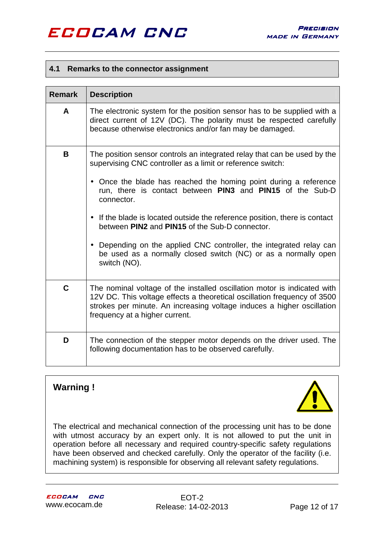#### **4.1 Remarks to the connector assignment**

| <b>Remark</b> | <b>Description</b>                                                                                                                                                                                                                                                                                                                                                                                                                                                                                                                                                             |
|---------------|--------------------------------------------------------------------------------------------------------------------------------------------------------------------------------------------------------------------------------------------------------------------------------------------------------------------------------------------------------------------------------------------------------------------------------------------------------------------------------------------------------------------------------------------------------------------------------|
| A             | The electronic system for the position sensor has to be supplied with a<br>direct current of 12V (DC). The polarity must be respected carefully<br>because otherwise electronics and/or fan may be damaged.                                                                                                                                                                                                                                                                                                                                                                    |
| B             | The position sensor controls an integrated relay that can be used by the<br>supervising CNC controller as a limit or reference switch:<br>• Once the blade has reached the homing point during a reference<br>run, there is contact between PIN3 and PIN15 of the Sub-D<br>connector.<br>• If the blade is located outside the reference position, there is contact<br>between PIN2 and PIN15 of the Sub-D connector.<br>• Depending on the applied CNC controller, the integrated relay can<br>be used as a normally closed switch (NC) or as a normally open<br>switch (NO). |
| C             | The nominal voltage of the installed oscillation motor is indicated with<br>12V DC. This voltage effects a theoretical oscillation frequency of 3500<br>strokes per minute. An increasing voltage induces a higher oscillation<br>frequency at a higher current.                                                                                                                                                                                                                                                                                                               |
| D             | The connection of the stepper motor depends on the driver used. The<br>following documentation has to be observed carefully.                                                                                                                                                                                                                                                                                                                                                                                                                                                   |

### **Warning !**



The electrical and mechanical connection of the processing unit has to be done with utmost accuracy by an expert only. It is not allowed to put the unit in operation before all necessary and required country-specific safety regulations have been observed and checked carefully. Only the operator of the facility (i.e. machining system) is responsible for observing all relevant safety regulations.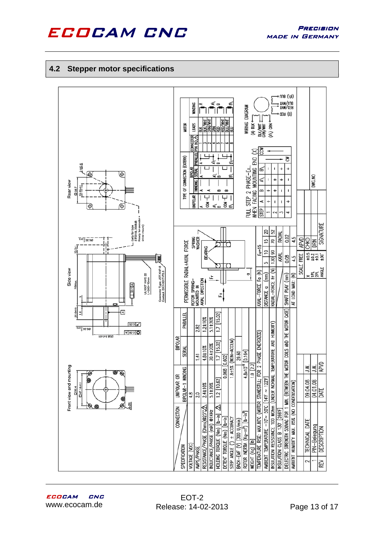

#### **4.2 Stepper motor specifications**

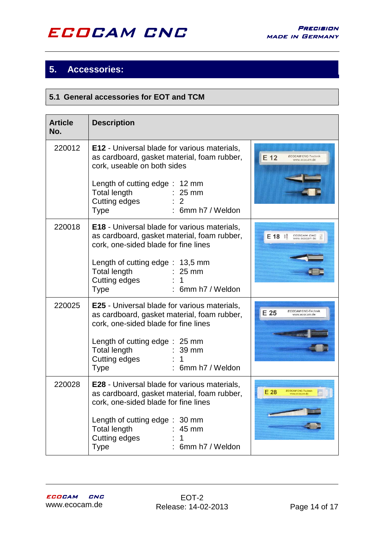### **5. Accessories:**

#### **5.1 General accessories for EOT and TCM**

| <b>Article</b><br>No. | <b>Description</b>                                                                                                                                                                                                                                                            |                                                     |
|-----------------------|-------------------------------------------------------------------------------------------------------------------------------------------------------------------------------------------------------------------------------------------------------------------------------|-----------------------------------------------------|
| 220012                | E12 - Universal blade for various materials,<br>as cardboard, gasket material, foam rubber,<br>cork, useable on both sides<br>Length of cutting edge: 12 mm<br><b>Total length</b><br>$\therefore$ 25 mm<br>Cutting edges<br>6mm h7 / Weldon<br><b>Type</b>                   | $E_1$ 12<br>ECOCAM CNC-Technik<br>www.ecocam.de     |
| 220018                | <b>E18</b> - Universal blade for various materials,<br>as cardboard, gasket material, foam rubber,<br>cork, one-sided blade for fine lines<br>Length of cutting edge: 13,5 mm<br><b>Total length</b><br>$\therefore$ 25 mm<br>Cutting edges<br>6mm h7 / Weldon<br><b>Type</b> | <b>ECOCAM CNC</b><br><b>E 18 賛</b><br>www.ecocam.de |
| 220025                | <b>E25</b> - Universal blade for various materials,<br>as cardboard, gasket material, foam rubber,<br>cork, one-sided blade for fine lines<br>Length of cutting edge: 25 mm<br><b>Total length</b><br>$: 39$ mm<br>Cutting edges<br>6mm h7 / Weldon<br><b>Type</b>            | <b>ECOCAM CNC-Technik</b><br>E 25<br>www.ecocam.de  |
| 220028                | <b>E28</b> - Universal blade for various materials,<br>as cardboard, gasket material, foam rubber,<br>cork, one-sided blade for fine lines<br>Length of cutting edge: 30 mm<br><b>Total length</b><br>45 mm<br>Cutting edges<br>1<br><b>Type</b><br>6mm h7 / Weldon           | <b>ECOCAM CNC-Techn</b><br>E28                      |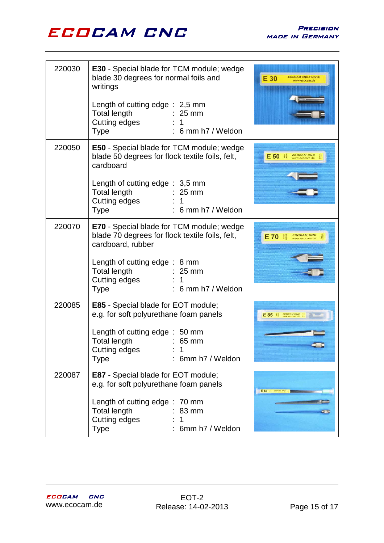

| 220030 | <b>E30</b> - Special blade for TCM module; wedge<br>blade 30 degrees for normal foils and<br>writings                                               | E 30<br><b>COCAM CNC-Technil</b><br>ww.ecocam.de |
|--------|-----------------------------------------------------------------------------------------------------------------------------------------------------|--------------------------------------------------|
|        | Length of cutting edge: 2,5 mm<br><b>Total length</b><br>$\therefore$ 25 mm<br>Cutting edges<br>$: 6$ mm h7 / Weldon<br><b>Type</b>                 |                                                  |
| 220050 | <b>E50</b> - Special blade for TCM module; wedge<br>blade 50 degrees for flock textile foils, felt,<br>cardboard                                    | <b>ECOCAM CNL</b><br>E 50<br>www.ecocam.do       |
|        | Length of cutting edge: 3,5 mm<br><b>Total length</b><br>$\therefore$ 25 mm<br>Cutting edges<br>$\mathbf{1}$<br>$: 6$ mm h7 / Weldon<br><b>Type</b> |                                                  |
| 220070 | <b>E70</b> - Special blade for TCM module; wedge<br>blade 70 degrees for flock textile foils, felt,<br>cardboard, rubber                            | <b>ECOCAM CNE</b><br><b>E70 </b>                 |
|        | Length of cutting edge: 8 mm<br><b>Total length</b><br>$: 25 \text{ mm}$<br>Cutting edges<br>1<br>: 6 mm h7 / Weldon<br><b>Type</b>                 |                                                  |
| 220085 | <b>E85</b> - Special blade for EOT module;<br>e.g. for soft polyurethane foam panels                                                                | E 85                                             |
|        | Length of cutting edge: 50 mm<br>Total length<br>$\sim$ 65 mm<br>Cutting edges<br>6mm h7 / Weldon<br>Type                                           |                                                  |
| 220087 | <b>E87</b> - Special blade for EOT module;<br>e.g. for soft polyurethane foam panels                                                                | E 87 11                                          |
|        | Length of cutting edge: 70 mm<br><b>Total length</b><br>83 mm<br>Cutting edges<br>6mm h7 / Weldon<br><b>Type</b>                                    | a t                                              |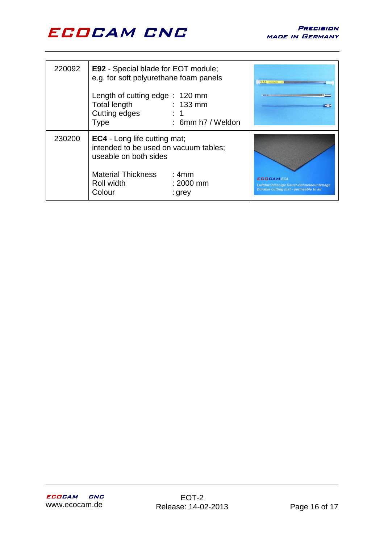

| 220092 | <b>E92</b> - Special blade for EOT module;<br>e.g. for soft polyurethane foam panels<br>Length of cutting edge: 120 mm<br><b>Total length</b><br>Cutting edges<br><b>Type</b> | $: 133$ mm<br>: 6mm h7 / Weldon | E 92 1999 PM                                                                                           |
|--------|-------------------------------------------------------------------------------------------------------------------------------------------------------------------------------|---------------------------------|--------------------------------------------------------------------------------------------------------|
| 230200 | <b>EC4</b> - Long life cutting mat;<br>intended to be used on vacuum tables;<br>useable on both sides<br><b>Material Thickness</b><br>Roll width<br>Colour                    | :4mm<br>$: 2000$ mm<br>: grey   | <b>ECOCAMEC4</b><br>Luftdurchlässige Dauer-Schneideunterlage<br>Durable cutting mat - permeable to air |